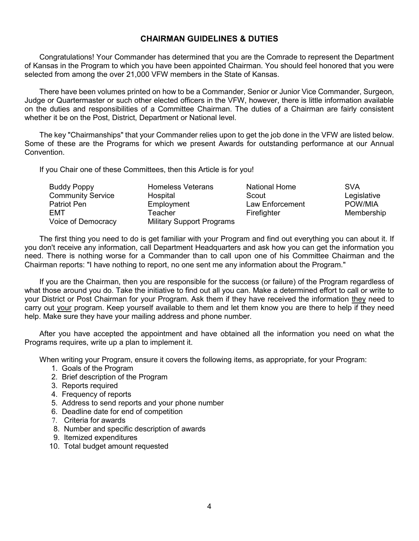## **CHAIRMAN GUIDELINES & DUTIES**

Congratulations! Your Commander has determined that you are the Comrade to represent the Department of Kansas in the Program to which you have been appointed Chairman. You should feel honored that you were selected from among the over 21,000 VFW members in the State of Kansas.

There have been volumes printed on how to be a Commander, Senior or Junior Vice Commander, Surgeon, Judge or Quartermaster or such other elected officers in the VFW, however, there is little information available on the duties and responsibilities of a Committee Chairman. The duties of a Chairman are fairly consistent whether it be on the Post, District, Department or National level.

The key "Chairmanships" that your Commander relies upon to get the job done in the VFW are listed below. Some of these are the Programs for which we present Awards for outstanding performance at our Annual Convention.

If you Chair one of these Committees, then this Article is for you!

| <b>Buddy Poppy</b>       | <b>Homeless Veterans</b>         | <b>National Home</b> | <b>SVA</b>  |
|--------------------------|----------------------------------|----------------------|-------------|
| <b>Community Service</b> | Hospital                         | Scout                | Legislative |
| Patriot Pen              | Employment                       | Law Enforcement      | POW/MIA     |
| EMT                      | Teacher                          | Firefighter          | Membership  |
| Voice of Democracy       | <b>Military Support Programs</b> |                      |             |

The first thing you need to do is get familiar with your Program and find out everything you can about it. If you don't receive any information, call Department Headquarters and ask how you can get the information you need. There is nothing worse for a Commander than to call upon one of his Committee Chairman and the Chairman reports: "I have nothing to report, no one sent me any information about the Program."

If you are the Chairman, then you are responsible for the success (or failure) of the Program regardless of what those around you do. Take the initiative to find out all you can. Make a determined effort to call or write to your District or Post Chairman for your Program. Ask them if they have received the information they need to carry out your program. Keep yourself available to them and let them know you are there to help if they need help. Make sure they have your mailing address and phone number.

After you have accepted the appointment and have obtained all the information you need on what the Programs requires, write up a plan to implement it.

When writing your Program, ensure it covers the following items, as appropriate, for your Program:

- 1. Goals of the Program
- 2. Brief description of the Program
- 3. Reports required
- 4. Frequency of reports
- 5. Address to send reports and your phone number
- 6. Deadline date for end of competition
- 7. Criteria for awards
- 8. Number and specific description of awards
- 9. Itemized expenditures
- 10. Total budget amount requested